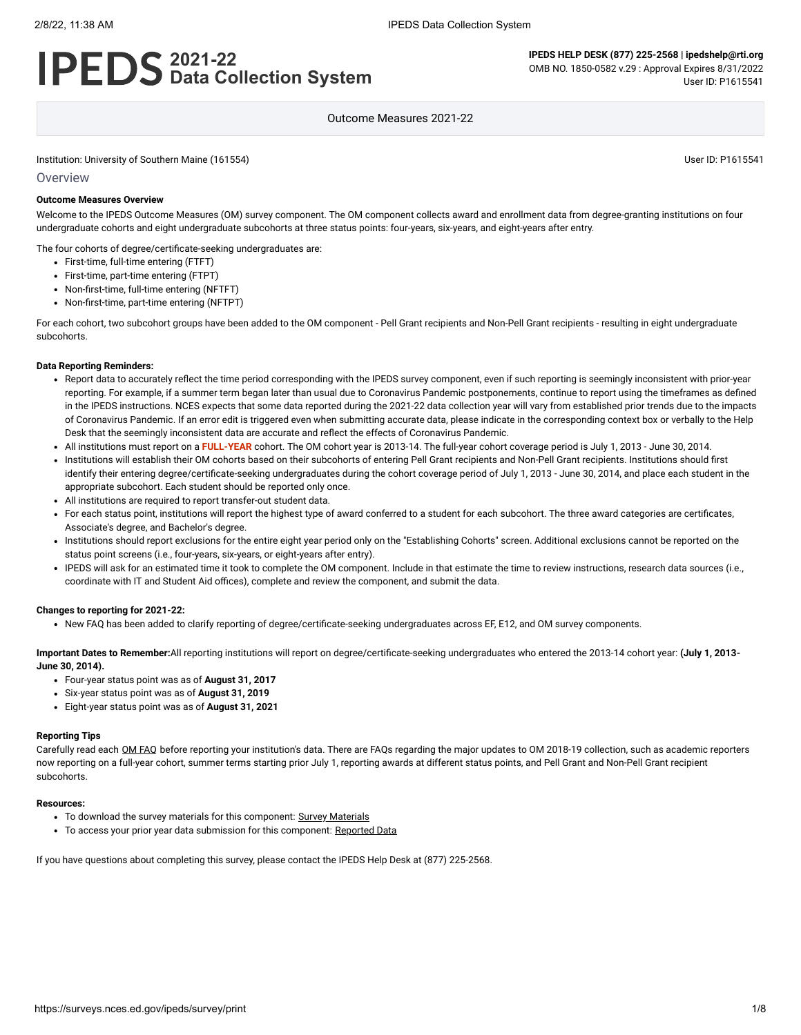#### 2/8/22, 11:38 AM IPEDS Data Collection System

# **2021-22 Data Collection System**

**IPEDS HELP DESK (877) 225-2568 | ipedshelp@rti.org** OMB NO. 1850-0582 v.29 : Approval Expires 8/31/2022 User ID: P1615541

Outcome Measures 2021-22

Institution: University of Southern Maine (161554) User ID: P1615541

#### **Overview**

#### **Outcome Measures Overview**

Welcome to the IPEDS Outcome Measures (OM) survey component. The OM component collects award and enrollment data from degree-granting institutions on four undergraduate cohorts and eight undergraduate subcohorts at three status points: four-years, six-years, and eight-years after entry.

The four cohorts of degree/certificate-seeking undergraduates are:

- First-time, full-time entering (FTFT)
- First-time, part-time entering (FTPT)
- Non-first-time, full-time entering (NFTFT)
- Non-first-time, part-time entering (NFTPT)

For each cohort, two subcohort groups have been added to the OM component - Pell Grant recipients and Non-Pell Grant recipients - resulting in eight undergraduate subcohorts.

#### **Data Reporting Reminders:**

- Report data to accurately reflect the time period corresponding with the IPEDS survey component, even if such reporting is seemingly inconsistent with prior-year reporting. For example, if a summer term began later than usual due to Coronavirus Pandemic postponements, continue to report using the timeframes as defined in the IPEDS instructions. NCES expects that some data reported during the 2021-22 data collection year will vary from established prior trends due to the impacts of Coronavirus Pandemic. If an error edit is triggered even when submitting accurate data, please indicate in the corresponding context box or verbally to the Help Desk that the seemingly inconsistent data are accurate and reflect the effects of Coronavirus Pandemic.
- All institutions must report on a **FULL-YEAR** cohort. The OM cohort year is 2013-14. The full-year cohort coverage period is July 1, 2013 June 30, 2014.
- Institutions will establish their OM cohorts based on their subcohorts of entering Pell Grant recipients and Non-Pell Grant recipients. Institutions should first  $\ddot{\phantom{a}}$ identify their entering degree/certificate-seeking undergraduates during the cohort coverage period of July 1, 2013 - June 30, 2014, and place each student in the appropriate subcohort. Each student should be reported only once.
- All institutions are required to report transfer-out student data.
- For each status point, institutions will report the highest type of award conferred to a student for each subcohort. The three award categories are certificates, Associate's degree, and Bachelor's degree.
- Institutions should report exclusions for the entire eight year period only on the "Establishing Cohorts" screen. Additional exclusions cannot be reported on the status point screens (i.e., four-years, six-years, or eight-years after entry).
- IPEDS will ask for an estimated time it took to complete the OM component. Include in that estimate the time to review instructions, research data sources (i.e., coordinate with IT and Student Aid offices), complete and review the component, and submit the data.

#### **Changes to reporting for 2021-22:**

• New FAQ has been added to clarify reporting of degree/certificate-seeking undergraduates across EF, E12, and OM survey components.

**Important Dates to Remember:**All reporting institutions will report on degree/certificate-seeking undergraduates who entered the 2013-14 cohort year: **(July 1, 2013- June 30, 2014).**

- Four-year status point was as of **August 31, 2017**
- Six-year status point was as of **August 31, 2019**
- Eight-year status point was as of **August 31, 2021**

#### **Reporting Tips**

Carefully read each OM [FAQ](https://surveys.nces.ed.gov/ipeds/public/survey-materials/faq?faqid=14) before reporting your institution's data. There are FAQs regarding the major updates to OM 2018-19 collection, such as academic reporters now reporting on a full-year cohort, summer terms starting prior July 1, reporting awards at different status points, and Pell Grant and Non-Pell Grant recipient subcohorts.

#### **Resources:**

- To download the survey materials for this component: Survey [Materials](https://surveys.nces.ed.gov/ipeds/public/survey-materials/index)
- To access your prior year data submission for this component: [Reported Data](javascript:openReportedData(161554, 13))

If you have questions about completing this survey, please contact the IPEDS Help Desk at (877) 225-2568.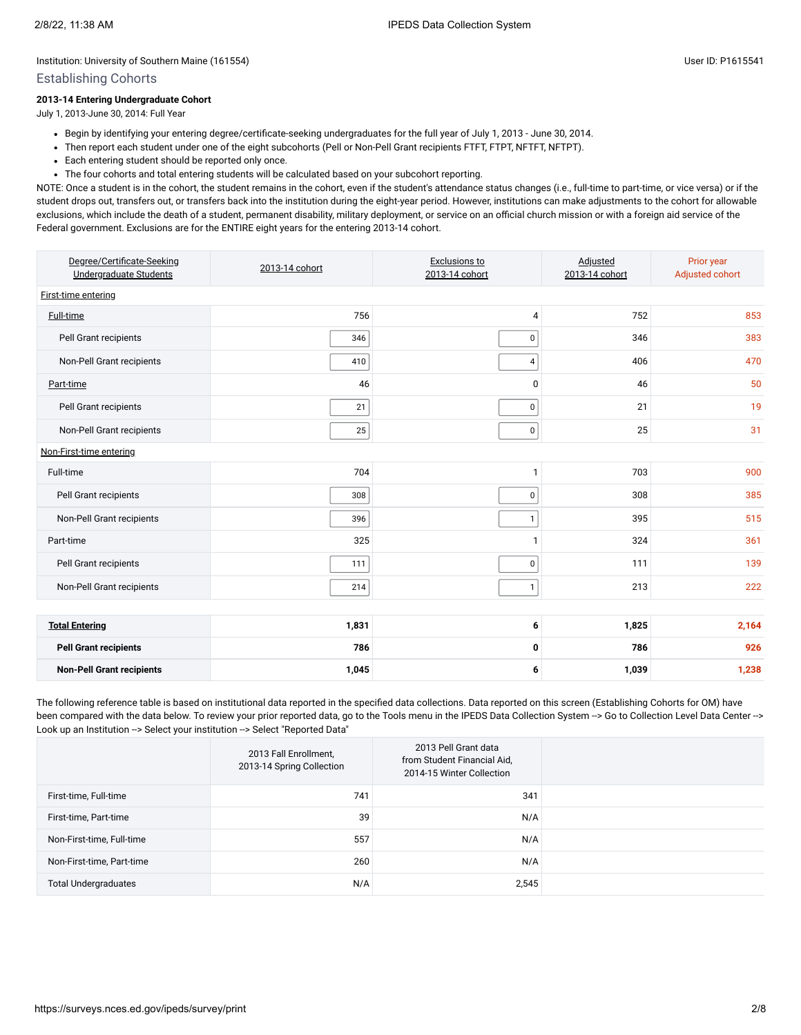### Establishing Cohorts

### **2013-14 Entering Undergraduate Cohort**

July 1, 2013-June 30, 2014: Full Year

- Begin by identifying your entering degree/certificate-seeking undergraduates for the full year of July 1, 2013 June 30, 2014.
- Then report each student under one of the eight subcohorts (Pell or Non-Pell Grant recipients FTFT, FTPT, NFTFT, NFTPT).
- Each entering student should be reported only once.
- The four cohorts and total entering students will be calculated based on your subcohort reporting.

NOTE: Once a student is in the cohort, the student remains in the cohort, even if the student's attendance status changes (i.e., full-time to part-time, or vice versa) or if the student drops out, transfers out, or transfers back into the institution during the eight-year period. However, institutions can make adjustments to the cohort for allowable exclusions, which include the death of a student, permanent disability, military deployment, or service on an official church mission or with a foreign aid service of the Federal government. Exclusions are for the ENTIRE eight years for the entering 2013-14 cohort.

| Degree/Certificate-Seeking<br>Undergraduate Students | 2013-14 cohort | Exclusions to<br>2013-14 cohort | Adjusted<br>2013-14 cohort | Prior year<br>Adjusted cohort |  |  |  |  |  |
|------------------------------------------------------|----------------|---------------------------------|----------------------------|-------------------------------|--|--|--|--|--|
| First-time entering                                  |                |                                 |                            |                               |  |  |  |  |  |
| <b>Full-time</b>                                     | 756            | 4                               | 752                        | 853                           |  |  |  |  |  |
| Pell Grant recipients                                | 346            | $\mathbf 0$                     | 346                        | 383                           |  |  |  |  |  |
| Non-Pell Grant recipients                            | 410            | 4                               | 406                        | 470                           |  |  |  |  |  |
| Part-time                                            | 46             | 0                               | 46                         | 50                            |  |  |  |  |  |
| Pell Grant recipients                                | 21             | 0                               | 21                         | 19                            |  |  |  |  |  |
| Non-Pell Grant recipients                            | 25             | 0                               | 25                         | 31                            |  |  |  |  |  |
| Non-First-time entering                              |                |                                 |                            |                               |  |  |  |  |  |
| Full-time                                            | 704            | $\mathbf{1}$                    | 703                        | 900                           |  |  |  |  |  |
| Pell Grant recipients                                | 308            | 0                               | 308                        | 385                           |  |  |  |  |  |
| Non-Pell Grant recipients                            | 396            | $\mathbf{1}$                    | 395                        | 515                           |  |  |  |  |  |
| Part-time                                            | 325            | 1                               | 324                        | 361                           |  |  |  |  |  |
| Pell Grant recipients                                | 111            | $\mathbf 0$                     | 111                        | 139                           |  |  |  |  |  |
| Non-Pell Grant recipients                            | 214            | $\mathbf{1}$                    | 213                        | 222                           |  |  |  |  |  |
|                                                      |                |                                 |                            |                               |  |  |  |  |  |
| <b>Total Entering</b>                                | 1,831          | 6                               | 1,825                      | 2,164                         |  |  |  |  |  |
| <b>Pell Grant recipients</b>                         | 786            | 0                               | 786                        | 926                           |  |  |  |  |  |
| <b>Non-Pell Grant recipients</b>                     | 1,045          | 6                               | 1,039                      | 1,238                         |  |  |  |  |  |

The following reference table is based on institutional data reported in the specified data collections. Data reported on this screen (Establishing Cohorts for OM) have been compared with the data below. To review your prior reported data, go to the Tools menu in the IPEDS Data Collection System --> Go to Collection Level Data Center --> Look up an Institution --> Select your institution --> Select "Reported Data"

|                             | 2013 Fall Enrollment,<br>2013-14 Spring Collection | 2013 Pell Grant data<br>from Student Financial Aid,<br>2014-15 Winter Collection |  |
|-----------------------------|----------------------------------------------------|----------------------------------------------------------------------------------|--|
| First-time, Full-time       | 741                                                | 341                                                                              |  |
| First-time, Part-time       | 39                                                 | N/A                                                                              |  |
| Non-First-time, Full-time   | 557                                                | N/A                                                                              |  |
| Non-First-time, Part-time   | 260                                                | N/A                                                                              |  |
| <b>Total Undergraduates</b> | N/A                                                | 2,545                                                                            |  |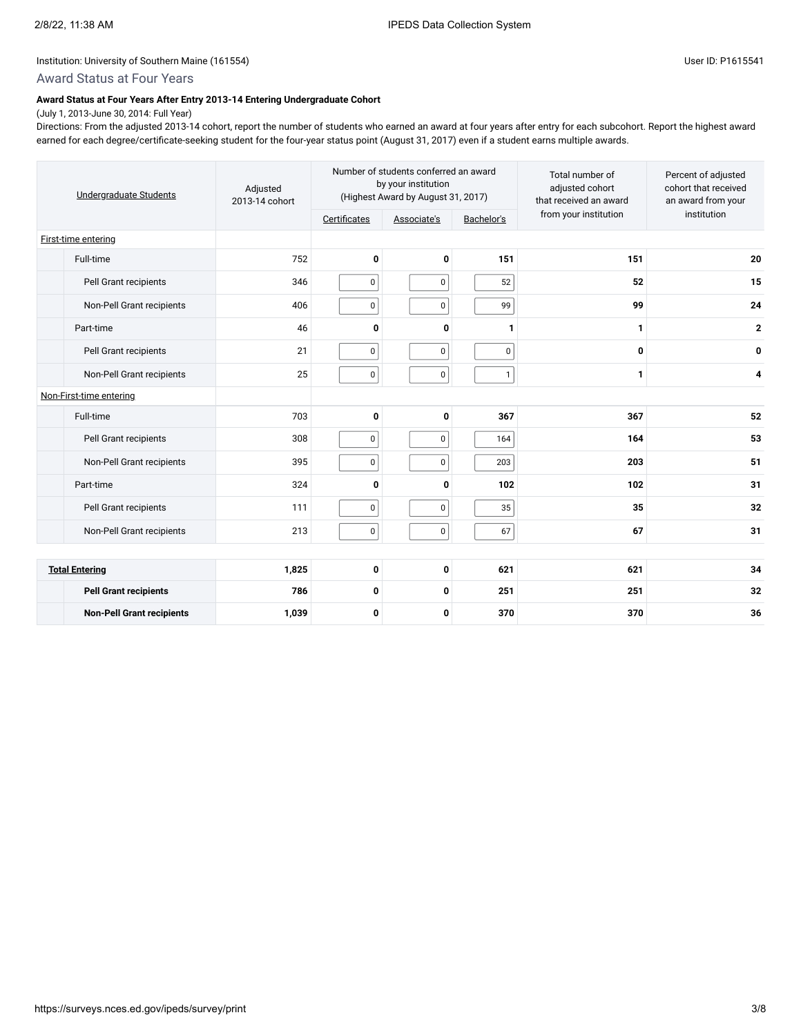## Award Status at Four Years

### **Award Status at Four Years After Entry 2013-14 Entering Undergraduate Cohort**

(July 1, 2013-June 30, 2014: Full Year) Directions: From the adjusted 2013-14 cohort, report the number of students who earned an award at four years after entry for each subcohort. Report the highest award earned for each degree/certificate-seeking student for the four-year status point (August 31, 2017) even if a student earns multiple awards.

| Undergraduate Students           | Adjusted<br>2013-14 cohort |              | Number of students conferred an award<br>by your institution<br>(Highest Award by August 31, 2017) |              | Total number of<br>adjusted cohort<br>that received an award | Percent of adjusted<br>cohort that received<br>an award from your |
|----------------------------------|----------------------------|--------------|----------------------------------------------------------------------------------------------------|--------------|--------------------------------------------------------------|-------------------------------------------------------------------|
|                                  |                            | Certificates | Associate's                                                                                        | Bachelor's   | from your institution                                        | institution                                                       |
| First-time entering              |                            |              |                                                                                                    |              |                                                              |                                                                   |
| Full-time                        | 752                        | $\mathbf 0$  | 0                                                                                                  | 151          | 151                                                          | 20                                                                |
| Pell Grant recipients            | 346                        | $\pmb{0}$    | $\mathbf 0$                                                                                        | 52           | 52                                                           | 15                                                                |
| Non-Pell Grant recipients        | 406                        | $\pmb{0}$    | $\mathbf 0$                                                                                        | 99           | 99                                                           | 24                                                                |
| Part-time                        | 46                         | 0            | 0                                                                                                  | 1            | 1                                                            | $\overline{2}$                                                    |
| Pell Grant recipients            | 21                         | $\pmb{0}$    | $\mathbf 0$                                                                                        | $\pmb{0}$    | 0                                                            | 0                                                                 |
| Non-Pell Grant recipients        | 25                         | $\pmb{0}$    | $\pmb{0}$                                                                                          | $\mathbf{1}$ | 1                                                            | 4                                                                 |
| Non-First-time entering          |                            |              |                                                                                                    |              |                                                              |                                                                   |
| Full-time                        | 703                        | 0            | 0                                                                                                  | 367          | 367                                                          | 52                                                                |
| Pell Grant recipients            | 308                        | $\pmb{0}$    | $\mathbf 0$                                                                                        | 164          | 164                                                          | 53                                                                |
| Non-Pell Grant recipients        | 395                        | $\pmb{0}$    | 0                                                                                                  | 203          | 203                                                          | 51                                                                |
| Part-time                        | 324                        | $\mathbf{0}$ | 0                                                                                                  | 102          | 102                                                          | 31                                                                |
| Pell Grant recipients            | 111                        | $\pmb{0}$    | $\mathsf 0$                                                                                        | 35           | 35                                                           | 32                                                                |
| Non-Pell Grant recipients        | 213                        | $\pmb{0}$    | 0                                                                                                  | 67           | 67                                                           | 31                                                                |
|                                  |                            |              |                                                                                                    |              |                                                              |                                                                   |
| <b>Total Entering</b>            | 1,825                      | 0            | $\mathbf 0$                                                                                        | 621          | 621                                                          | 34                                                                |
| <b>Pell Grant recipients</b>     | 786                        | 0            | 0                                                                                                  | 251          | 251                                                          | 32                                                                |
| <b>Non-Pell Grant recipients</b> | 1,039                      | 0            | 0                                                                                                  | 370          | 370                                                          | 36                                                                |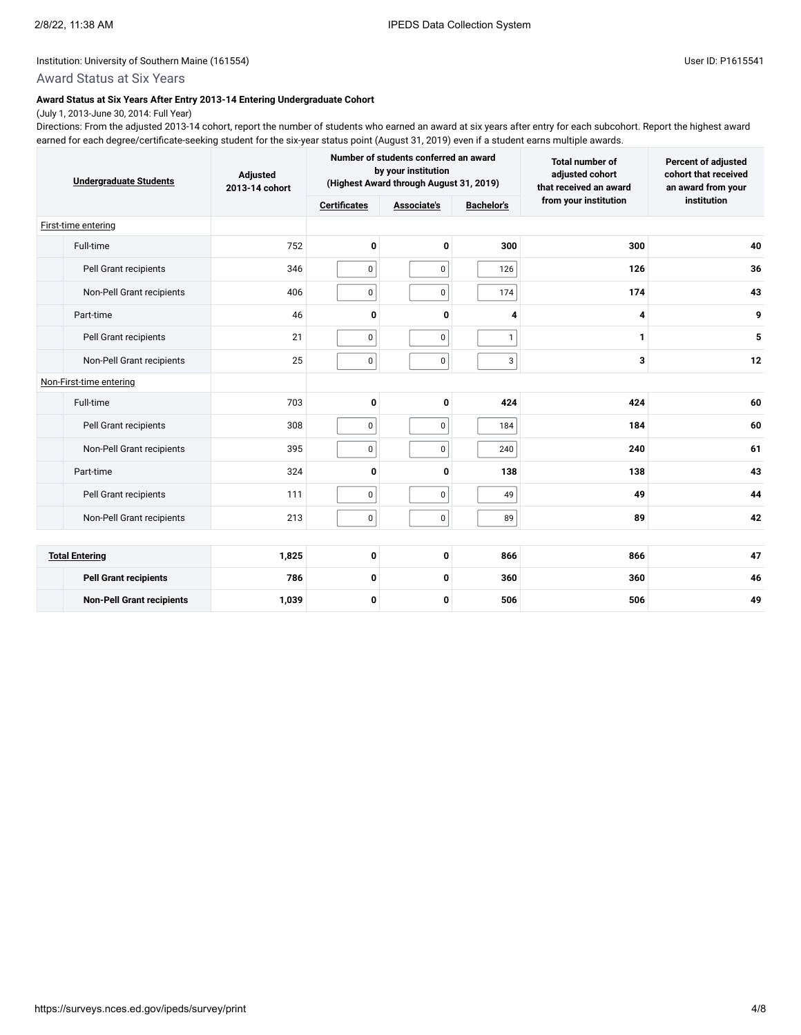# Award Status at Six Years

#### **Award Status at Six Years After Entry 2013-14 Entering Undergraduate Cohort** (July 1, 2013-June 30, 2014: Full Year)

Directions: From the adjusted 2013-14 cohort, report the number of students who earned an award at six years after entry for each subcohort. Report the highest award earned for each degree/certificate-seeking student for the six-year status point (August 31, 2019) even if a student earns multiple awards.

| <b>Undergraduate Students</b>    | Adjusted<br>2013-14 cohort |                     | Number of students conferred an award<br>by your institution<br>(Highest Award through August 31, 2019) | Total number of<br>adjusted cohort<br>that received an award | Percent of adjusted<br>cohort that received<br>an award from your |             |  |
|----------------------------------|----------------------------|---------------------|---------------------------------------------------------------------------------------------------------|--------------------------------------------------------------|-------------------------------------------------------------------|-------------|--|
|                                  |                            | <b>Certificates</b> | <b>Associate's</b>                                                                                      | <b>Bachelor's</b>                                            | from your institution                                             | institution |  |
| First-time entering              |                            |                     |                                                                                                         |                                                              |                                                                   |             |  |
| Full-time                        | 752                        | 0                   | 0                                                                                                       | 300                                                          | 300                                                               | 40          |  |
| Pell Grant recipients            | 346                        | 0                   | 0                                                                                                       | 126                                                          | 126                                                               | 36          |  |
| Non-Pell Grant recipients        | 406                        | 0                   | 0                                                                                                       | 174                                                          | 174                                                               | 43          |  |
| Part-time                        | 46                         | $\mathbf{0}$        | 0                                                                                                       | 4                                                            | 4                                                                 | 9           |  |
| Pell Grant recipients            | 21                         | 0                   | 0                                                                                                       | $\mathbf{1}$                                                 | 1                                                                 | 5           |  |
| Non-Pell Grant recipients        | 25                         | 0                   | 0                                                                                                       | 3                                                            | 3                                                                 | 12          |  |
| Non-First-time entering          |                            |                     |                                                                                                         |                                                              |                                                                   |             |  |
| Full-time                        | 703                        | 0                   | 0                                                                                                       | 424                                                          | 424                                                               | 60          |  |
| Pell Grant recipients            | 308                        | 0                   | $\mathbf 0$                                                                                             | 184                                                          | 184                                                               | 60          |  |
| Non-Pell Grant recipients        | 395                        | 0                   | 0                                                                                                       | 240                                                          | 240                                                               | 61          |  |
| Part-time                        | 324                        | $\mathbf 0$         | 0                                                                                                       | 138                                                          | 138                                                               | 43          |  |
| Pell Grant recipients            | 111                        | 0                   | $\mathsf 0$                                                                                             | 49                                                           | 49                                                                | 44          |  |
| Non-Pell Grant recipients        | 213                        | $\pmb{0}$           | 0                                                                                                       | 89                                                           | 89                                                                | 42          |  |
|                                  |                            |                     |                                                                                                         |                                                              |                                                                   |             |  |
| <b>Total Entering</b>            | 1,825                      | 0                   | 0                                                                                                       | 866                                                          | 866                                                               | 47          |  |
| <b>Pell Grant recipients</b>     | 786                        | 0                   | 0                                                                                                       | 360                                                          | 360                                                               | 46          |  |
| <b>Non-Pell Grant recipients</b> | 1,039                      | 0                   | 0                                                                                                       | 506                                                          | 506                                                               | 49          |  |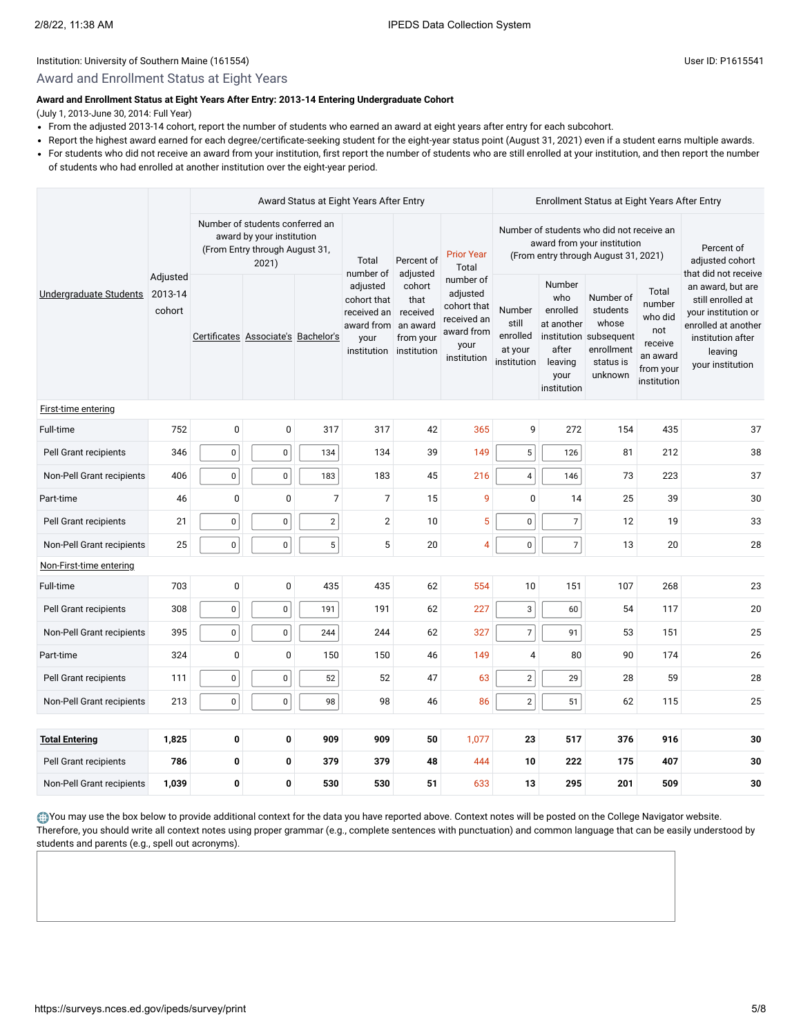### Award and Enrollment Status at Eight Years

#### **Award and Enrollment Status at Eight Years After Entry: 2013-14 Entering Undergraduate Cohort**

(July 1, 2013-June 30, 2014: Full Year)

- From the adjusted 2013-14 cohort, report the number of students who earned an award at eight years after entry for each subcohort.
- Report the highest award earned for each degree/certificate-seeking student for the eight-year status point (August 31, 2021) even if a student earns multiple awards.
- For students who did not receive an award from your institution, first report the number of students who are still enrolled at your institution, and then report the number of students who had enrolled at another institution over the eight-year period.

| Undergraduate Students    |                               |                                                                                                         | Award Status at Eight Years After Entry |            |                                                                                          |                                                                                |                                                                                                                  | Enrollment Status at Eight Years After Entry          |                                                                                    |                                                                                                |                                                                                      |                                                                                                                                                                  |
|---------------------------|-------------------------------|---------------------------------------------------------------------------------------------------------|-----------------------------------------|------------|------------------------------------------------------------------------------------------|--------------------------------------------------------------------------------|------------------------------------------------------------------------------------------------------------------|-------------------------------------------------------|------------------------------------------------------------------------------------|------------------------------------------------------------------------------------------------|--------------------------------------------------------------------------------------|------------------------------------------------------------------------------------------------------------------------------------------------------------------|
|                           |                               | Number of students conferred an<br>award by your institution<br>(From Entry through August 31,<br>2021) |                                         | Total      | Percent of                                                                               | <b>Prior Year</b><br>Total                                                     | Number of students who did not receive an<br>award from your institution<br>(From entry through August 31, 2021) |                                                       |                                                                                    |                                                                                                | Percent of<br>adjusted cohort                                                        |                                                                                                                                                                  |
|                           | Adjusted<br>2013-14<br>cohort |                                                                                                         | Certificates Associate's Bachelor's     |            | number of<br>adjusted<br>cohort that<br>received an<br>award from<br>your<br>institution | adjusted<br>cohort<br>that<br>received<br>an award<br>from your<br>institution | number of<br>adjusted<br>cohort that<br>received an<br>award from<br>your<br>institution                         | Number<br>still<br>enrolled<br>at your<br>institution | Number<br>who<br>enrolled<br>at another<br>after<br>leaving<br>your<br>institution | Number of<br>students<br>whose<br>institution subsequent<br>enrollment<br>status is<br>unknown | Total<br>number<br>who did<br>not<br>receive<br>an award<br>from your<br>institution | that did not receive<br>an award, but are<br>still enrolled at<br>your institution or<br>enrolled at another<br>institution after<br>leaving<br>your institution |
| First-time entering       |                               |                                                                                                         |                                         |            |                                                                                          |                                                                                |                                                                                                                  |                                                       |                                                                                    |                                                                                                |                                                                                      |                                                                                                                                                                  |
| Full-time                 | 752                           | $\mathbf 0$                                                                                             | $\mathbf 0$                             | 317        | 317                                                                                      | 42                                                                             | 365                                                                                                              | 9                                                     | 272                                                                                | 154                                                                                            | 435                                                                                  | 37                                                                                                                                                               |
| Pell Grant recipients     | 346                           | $\pmb{0}$                                                                                               | $\pmb{0}$                               | 134        | 134                                                                                      | 39                                                                             | 149                                                                                                              | 5                                                     | 126                                                                                | 81                                                                                             | 212                                                                                  | 38                                                                                                                                                               |
| Non-Pell Grant recipients | 406                           | $\pmb{0}$                                                                                               | $\pmb{0}$                               | 183        | 183                                                                                      | 45                                                                             | 216                                                                                                              | 4                                                     | 146                                                                                | 73                                                                                             | 223                                                                                  | 37                                                                                                                                                               |
| Part-time                 | 46                            | 0                                                                                                       | $\mathbf 0$                             | 7          | $\overline{7}$                                                                           | 15                                                                             | 9                                                                                                                | $\mathbf 0$                                           | 14                                                                                 | 25                                                                                             | 39                                                                                   | 30                                                                                                                                                               |
| Pell Grant recipients     | 21                            | $\pmb{0}$                                                                                               | $\pmb{0}$                               | $\sqrt{2}$ | $\overline{c}$                                                                           | 10                                                                             | 5                                                                                                                | $\pmb{0}$                                             | $\overline{7}$                                                                     | 12                                                                                             | 19                                                                                   | 33                                                                                                                                                               |
| Non-Pell Grant recipients | 25                            | $\pmb{0}$                                                                                               | $\pmb{0}$                               | 5          | 5                                                                                        | 20                                                                             | $\overline{4}$                                                                                                   | $\pmb{0}$                                             | $\overline{7}$                                                                     | 13                                                                                             | 20                                                                                   | 28                                                                                                                                                               |
| Non-First-time entering   |                               |                                                                                                         |                                         |            |                                                                                          |                                                                                |                                                                                                                  |                                                       |                                                                                    |                                                                                                |                                                                                      |                                                                                                                                                                  |
| Full-time                 | 703                           | $\pmb{0}$                                                                                               | $\pmb{0}$                               | 435        | 435                                                                                      | 62                                                                             | 554                                                                                                              | 10                                                    | 151                                                                                | 107                                                                                            | 268                                                                                  | 23                                                                                                                                                               |
| Pell Grant recipients     | 308                           | $\pmb{0}$                                                                                               | $\mathbf 0$                             | 191        | 191                                                                                      | 62                                                                             | 227                                                                                                              | 3                                                     | 60                                                                                 | 54                                                                                             | 117                                                                                  | 20                                                                                                                                                               |
| Non-Pell Grant recipients | 395                           | $\pmb{0}$                                                                                               | 0                                       | 244        | 244                                                                                      | 62                                                                             | 327                                                                                                              | $\overline{7}$                                        | 91                                                                                 | 53                                                                                             | 151                                                                                  | 25                                                                                                                                                               |
| Part-time                 | 324                           | $\mathbf 0$                                                                                             | $\pmb{0}$                               | 150        | 150                                                                                      | 46                                                                             | 149                                                                                                              | $\overline{4}$                                        | 80                                                                                 | 90                                                                                             | 174                                                                                  | 26                                                                                                                                                               |
| Pell Grant recipients     | 111                           | $\pmb{0}$                                                                                               | $\mathbf 0$                             | 52         | 52                                                                                       | 47                                                                             | 63                                                                                                               | $\sqrt{2}$                                            | 29                                                                                 | 28                                                                                             | 59                                                                                   | 28                                                                                                                                                               |
| Non-Pell Grant recipients | 213                           | $\mathbf 0$                                                                                             | $\mathbf 0$                             | 98         | 98                                                                                       | 46                                                                             | 86                                                                                                               | $\overline{2}$                                        | 51                                                                                 | 62                                                                                             | 115                                                                                  | 25                                                                                                                                                               |
|                           |                               |                                                                                                         |                                         |            |                                                                                          |                                                                                |                                                                                                                  |                                                       |                                                                                    |                                                                                                |                                                                                      |                                                                                                                                                                  |
| <b>Total Entering</b>     | 1,825                         | 0                                                                                                       | 0                                       | 909        | 909                                                                                      | 50                                                                             | 1,077                                                                                                            | 23                                                    | 517                                                                                | 376                                                                                            | 916                                                                                  | 30                                                                                                                                                               |
| Pell Grant recipients     | 786                           | 0                                                                                                       | 0                                       | 379        | 379                                                                                      | 48                                                                             | 444                                                                                                              | 10                                                    | 222                                                                                | 175                                                                                            | 407                                                                                  | 30                                                                                                                                                               |
| Non-Pell Grant recipients | 1,039                         | $\mathbf 0$                                                                                             | 0                                       | 530        | 530                                                                                      | 51                                                                             | 633                                                                                                              | 13                                                    | 295                                                                                | 201                                                                                            | 509                                                                                  | 30                                                                                                                                                               |

You may use the box below to provide additional context for the data you have reported above. Context notes will be posted on the College Navigator website. Therefore, you should write all context notes using proper grammar (e.g., complete sentences with punctuation) and common language that can be easily understood by students and parents (e.g., spell out acronyms).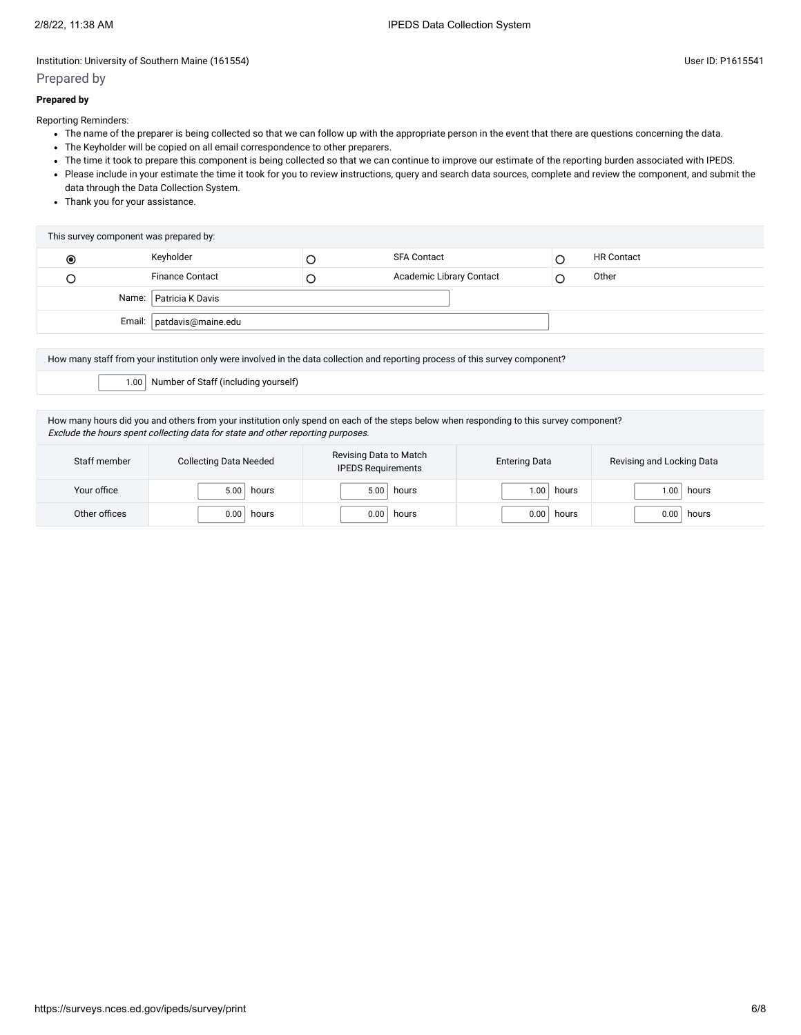### Prepared by

Reporting Reminders:

- The name of the preparer is being collected so that we can follow up with the appropriate person in the event that there are questions concerning the data.
- The Keyholder will be copied on all email correspondence to other preparers.
- The time it took to prepare this component is being collected so that we can continue to improve our estimate of the reporting burden associated with IPEDS.
- Please include in your estimate the time it took for you to review instructions, query and search data sources, complete and review the component, and submit the data through the Data Collection System.
- Thank you for your assistance.

| This survey component was prepared by: |                             |  |                          |  |                   |  |  |  |  |
|----------------------------------------|-----------------------------|--|--------------------------|--|-------------------|--|--|--|--|
| $\odot$                                | Keyholder                   |  | <b>SFA Contact</b>       |  | <b>HR Contact</b> |  |  |  |  |
|                                        | <b>Finance Contact</b>      |  | Academic Library Contact |  | Other             |  |  |  |  |
|                                        | Name: Patricia K Davis      |  |                          |  |                   |  |  |  |  |
|                                        | Email:   patdavis@maine.edu |  |                          |  |                   |  |  |  |  |

How many staff from your institution only were involved in the data collection and reporting process of this survey component?

1.00 Number of Staff (including yourself)

How many hours did you and others from your institution only spend on each of the steps below when responding to this survey component? Exclude the hours spent collecting data for state and other reporting purposes.

| Staff member  | <b>Collecting Data Needed</b> | Revising Data to Match<br><b>IPEDS Requirements</b> | <b>Entering Data</b> | Revising and Locking Data |
|---------------|-------------------------------|-----------------------------------------------------|----------------------|---------------------------|
| Your office   | 5.00                          | 5.00                                                | 1.00                 | hours                     |
|               | hours                         | hours                                               | hours                | .00 <sub>1</sub>          |
| Other offices | 0.00                          | 0.00                                                | 0.00                 | 0.00                      |
|               | hours                         | hours                                               | hours                | hours                     |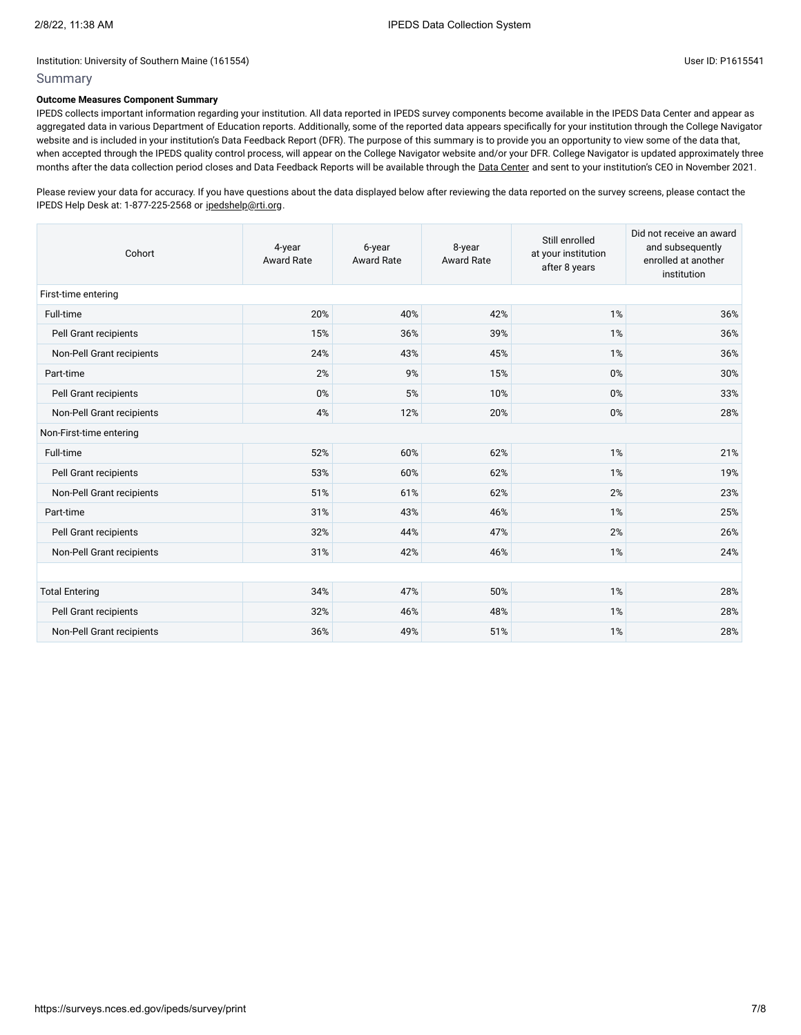### **Outcome Measures Component Summary**

IPEDS collects important information regarding your institution. All data reported in IPEDS survey components become available in the IPEDS Data Center and appear as aggregated data in various Department of Education reports. Additionally, some of the reported data appears specifically for your institution through the College Navigator website and is included in your institution's Data Feedback Report (DFR). The purpose of this summary is to provide you an opportunity to view some of the data that, when accepted through the IPEDS quality control process, will appear on the College Navigator website and/or your DFR. College Navigator is updated approximately three months after the data collection period closes and Data Feedback Reports will be available through the Data [Center](https://nces.ed.gov/ipeds/use-the-data) and sent to your institution's CEO in November 2021.

Please review your data for accuracy. If you have questions about the data displayed below after reviewing the data reported on the survey screens, please contact the IPEDS Help Desk at: 1-877-225-2568 or [ipedshelp@rti.org.](mailto:ipedshelp@rti.org)

| Cohort                    | 4-year<br><b>Award Rate</b> | 6-year<br><b>Award Rate</b> | 8-year<br>Award Rate | Still enrolled<br>at your institution<br>after 8 years | Did not receive an award<br>and subsequently<br>enrolled at another<br>institution |  |  |  |  |  |
|---------------------------|-----------------------------|-----------------------------|----------------------|--------------------------------------------------------|------------------------------------------------------------------------------------|--|--|--|--|--|
| First-time entering       |                             |                             |                      |                                                        |                                                                                    |  |  |  |  |  |
| Full-time                 | 20%                         | 40%                         | 42%                  | 1%                                                     | 36%                                                                                |  |  |  |  |  |
| Pell Grant recipients     | 15%                         | 36%                         | 39%                  | 1%                                                     | 36%                                                                                |  |  |  |  |  |
| Non-Pell Grant recipients | 24%                         | 43%                         | 45%                  | 1%                                                     | 36%                                                                                |  |  |  |  |  |
| Part-time                 | 2%                          | 9%                          | 15%                  | 0%                                                     | 30%                                                                                |  |  |  |  |  |
| Pell Grant recipients     | 0%                          | 5%                          | 10%                  | 0%                                                     | 33%                                                                                |  |  |  |  |  |
| Non-Pell Grant recipients | 4%                          | 12%                         | 20%                  | 0%                                                     | 28%                                                                                |  |  |  |  |  |
| Non-First-time entering   |                             |                             |                      |                                                        |                                                                                    |  |  |  |  |  |
| Full-time                 | 52%                         | 60%                         | 62%                  | 1%                                                     | 21%                                                                                |  |  |  |  |  |
| Pell Grant recipients     | 53%                         | 60%                         | 62%                  | 1%                                                     | 19%                                                                                |  |  |  |  |  |
| Non-Pell Grant recipients | 51%                         | 61%                         | 62%                  | 2%                                                     | 23%                                                                                |  |  |  |  |  |
| Part-time                 | 31%                         | 43%                         | 46%                  | 1%                                                     | 25%                                                                                |  |  |  |  |  |
| Pell Grant recipients     | 32%                         | 44%                         | 47%                  | 2%                                                     | 26%                                                                                |  |  |  |  |  |
| Non-Pell Grant recipients | 31%                         | 42%                         | 46%                  | 1%                                                     | 24%                                                                                |  |  |  |  |  |
|                           |                             |                             |                      |                                                        |                                                                                    |  |  |  |  |  |
| <b>Total Entering</b>     | 34%                         | 47%                         | 50%                  | 1%                                                     | 28%                                                                                |  |  |  |  |  |
| Pell Grant recipients     | 32%                         | 46%                         | 48%                  | 1%                                                     | 28%                                                                                |  |  |  |  |  |
| Non-Pell Grant recipients | 36%                         | 49%                         | 51%                  | 1%                                                     | 28%                                                                                |  |  |  |  |  |